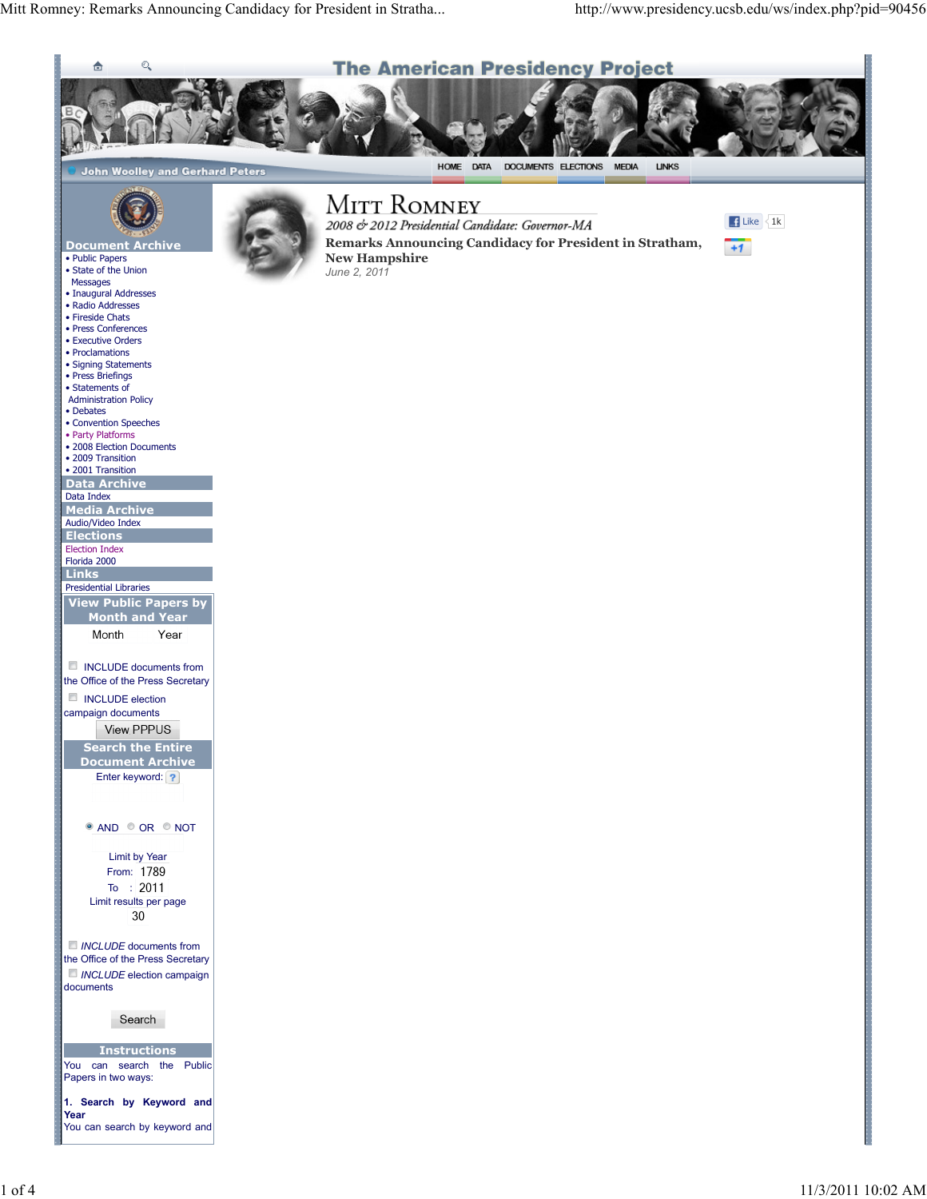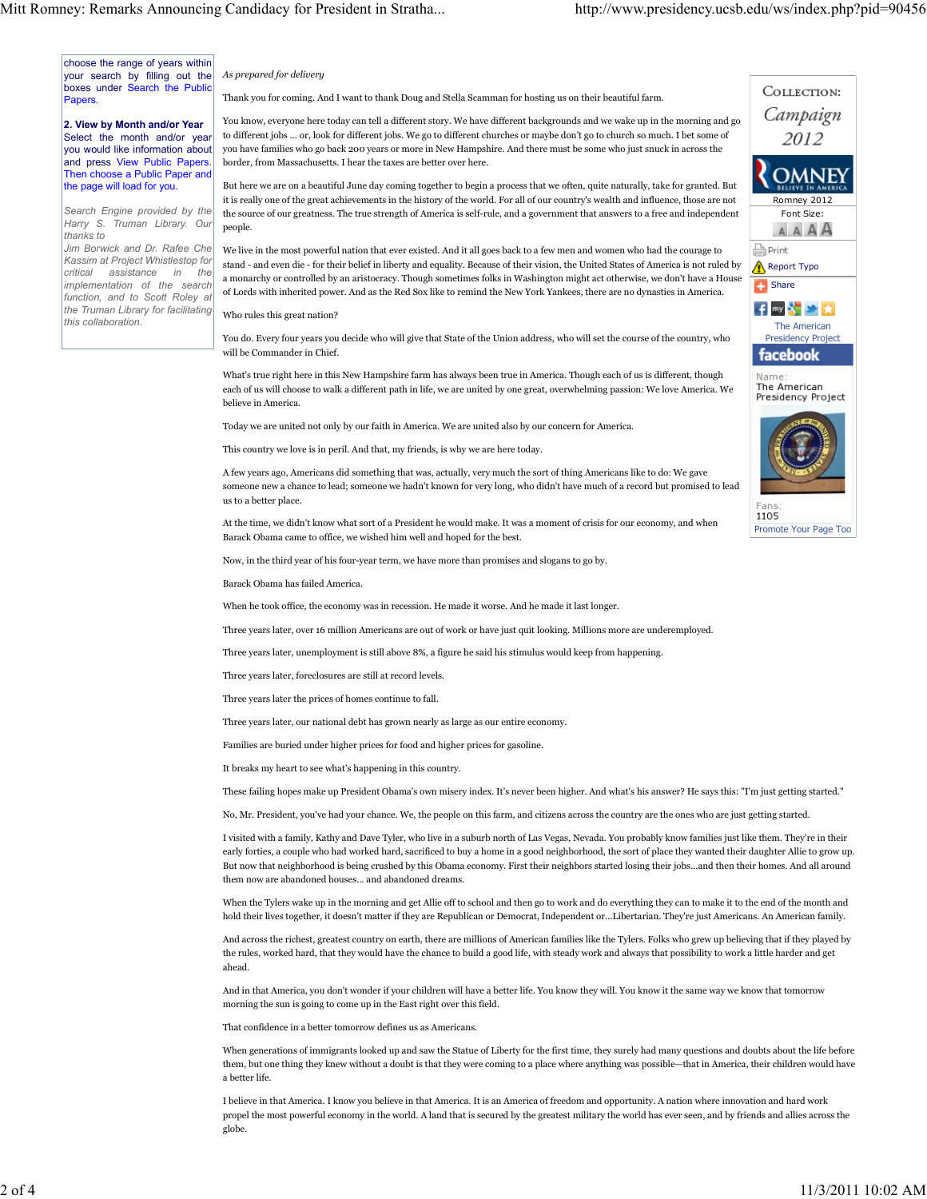choose the range of years within your search by filling out the boxes under Search the Public **Papers** 

2. View by Month and/or Year Select the month and/or year you would like information about and press View Public Papers. Then choose a Public Paper and the page will load for you.

Search Engine provided by the Harry S. Truman Library. Our thanks to

Jim Borwick and Dr. Rafee Che Kassim at Project Whistlestop for critical assistance in the implementation of the search function, and to Scott Roley at the Truman Library for facilitating this collaboration.

As prepared for delivery

Thank you for coming. And I want to thank Doug and Stella Scamman for hosting us on their beautiful farm.

You know, everyone here today can tell a different story. We have different backgrounds and we wake up in the morning and go to different jobs … or, look for different jobs. We go to different churches or maybe don't go to church so much. I bet some of you have families who go back 200 years or more in New Hampshire. And there must be some who just snuck in across the border, from Massachusetts. I hear the taxes are better over here.

But here we are on a beautiful June day coming together to begin a process that we often, quite naturally, take for granted. But it is really one of the great achievements in the history of the world. For all of our country's wealth and influence, those are not the source of our greatness. The true strength of America is self-rule, and a government that answers to a free and independent people.

We live in the most powerful nation that ever existed. And it all goes back to a few men and women who had the courage to stand - and even die - for their belief in liberty and equality. Because of their vision, the United States of America is not ruled by a monarchy or controlled by an aristocracy. Though sometimes folks in Washington might act otherwise, we don't have a House of Lords with inherited power. And as the Red Sox like to remind the New York Yankees, there are no dynasties in America.

## Who rules this great nation?

You do. Every four years you decide who will give that State of the Union address, who will set the course of the country, who will be Commander in Chief.

What's true right here in this New Hampshire farm has always been true in America. Though each of us is different, though each of us will choose to walk a different path in life, we are united by one great, overwhelming passion: We love America. We believe in America.

Today we are united not only by our faith in America. We are united also by our concern for America.

This country we love is in peril. And that, my friends, is why we are here today.

A few years ago, Americans did something that was, actually, very much the sort of thing Americans like to do: We gave someone new a chance to lead; someone we hadn't known for very long, who didn't have much of a record but promised to lead us to a better place.

At the time, we didn't know what sort of a President he would make. It was a moment of crisis for our economy, and when Barack Obama came to office, we wished him well and hoped for the best.

Now, in the third year of his four-year term, we have more than promises and slogans to go by.

Barack Obama has failed America.

When he took office, the economy was in recession. He made it worse. And he made it last longer.

Three years later, over 16 million Americans are out of work or have just quit looking. Millions more are underemployed.

Three years later, unemployment is still above 8%, a figure he said his stimulus would keep from happening.

Three years later, foreclosures are still at record levels.

Three years later the prices of homes continue to fall.

Three years later, our national debt has grown nearly as large as our entire economy.

Families are buried under higher prices for food and higher prices for gasoline.

It breaks my heart to see what's happening in this country.

These failing hopes make up President Obama's own misery index. It's never been higher. And what's his answer? He says this: "I'm just getting started."

No, Mr. President, you've had your chance. We, the people on this farm, and citizens across the country are the ones who are just getting started.

I visited with a family, Kathy and Dave Tyler, who live in a suburb north of Las Vegas, Nevada. You probably know families just like them. They're in their early forties, a couple who had worked hard, sacrificed to buy a home in a good neighborhood, the sort of place they wanted their daughter Allie to grow up. But now that neighborhood is being crushed by this Obama economy. First their neighbors started losing their jobs...and then their homes. And all around them now are abandoned houses... and abandoned dreams.

When the Tylers wake up in the morning and get Allie off to school and then go to work and do everything they can to make it to the end of the month and hold their lives together, it doesn't matter if they are Republican or Democrat, Independent or...Libertarian. They're just Americans. An American family.

And across the richest, greatest country on earth, there are millions of American families like the Tylers. Folks who grew up believing that if they played by the rules, worked hard, that they would have the chance to build a good life, with steady work and always that possibility to work a little harder and get ahead.

And in that America, you don't wonder if your children will have a better life. You know they will. You know it the same way we know that tomorrow morning the sun is going to come up in the East right over this field.

That confidence in a better tomorrow defines us as Americans.

When generations of immigrants looked up and saw the Statue of Liberty for the first time, they surely had many questions and doubts about the life before them, but one thing they knew without a doubt is that they were coming to a place where anything was possible—that in America, their children would have a better life.

I believe in that America. I know you believe in that America. It is an America of freedom and opportunity. A nation where innovation and hard work propel the most powerful economy in the world. A land that is secured by the greatest military the world has ever seen, and by friends and allies across the globe.



Promote Your Page Too

1105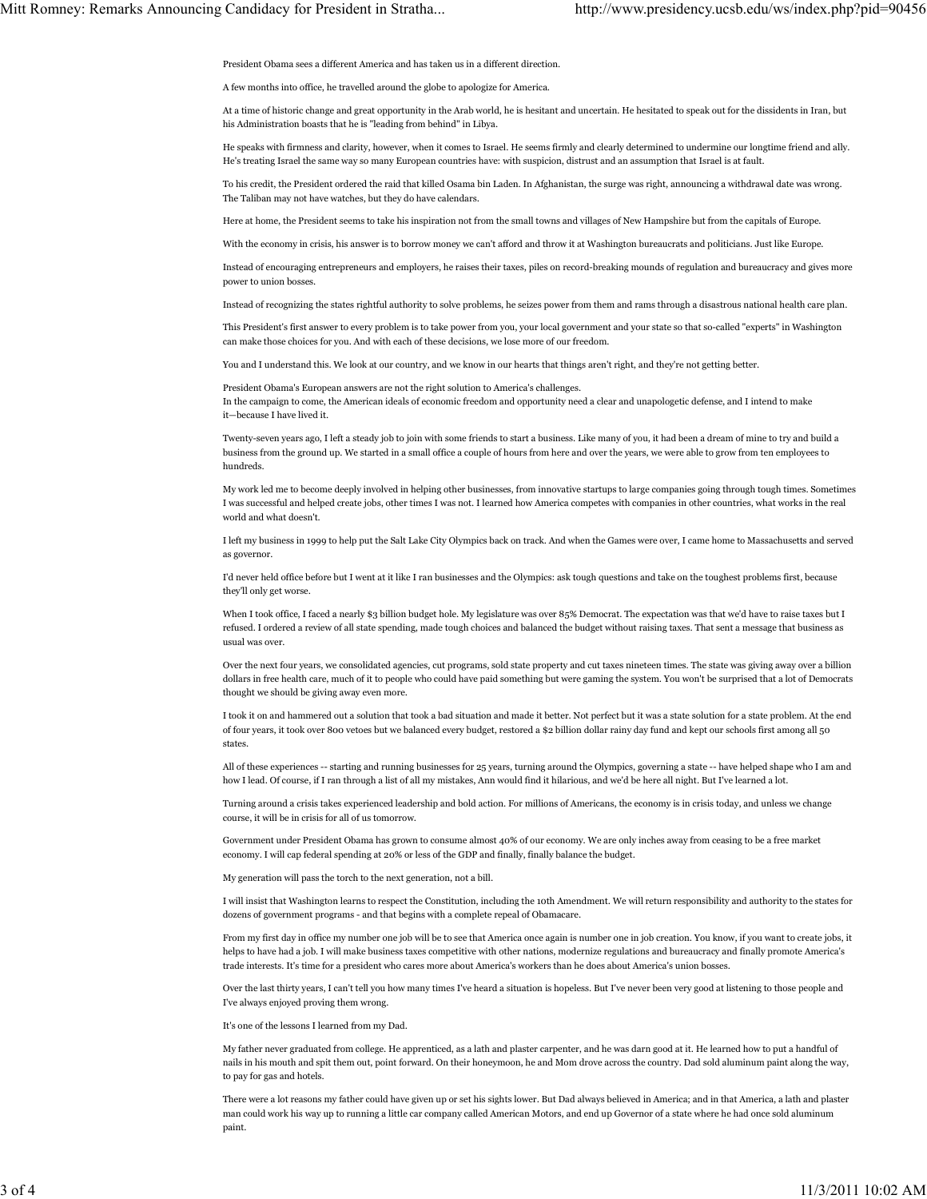President Obama sees a different America and has taken us in a different direction.

A few months into office, he travelled around the globe to apologize for America.

At a time of historic change and great opportunity in the Arab world, he is hesitant and uncertain. He hesitated to speak out for the dissidents in Iran, but his Administration boasts that he is "leading from behind" in Libya.

He speaks with firmness and clarity, however, when it comes to Israel. He seems firmly and clearly determined to undermine our longtime friend and ally. He's treating Israel the same way so many European countries have: with suspicion, distrust and an assumption that Israel is at fault.

To his credit, the President ordered the raid that killed Osama bin Laden. In Afghanistan, the surge was right, announcing a withdrawal date was wrong. The Taliban may not have watches, but they do have calendars.

Here at home, the President seems to take his inspiration not from the small towns and villages of New Hampshire but from the capitals of Europe.

With the economy in crisis, his answer is to borrow money we can't afford and throw it at Washington bureaucrats and politicians. Just like Europe.

Instead of encouraging entrepreneurs and employers, he raises their taxes, piles on record-breaking mounds of regulation and bureaucracy and gives more power to union bosses.

Instead of recognizing the states rightful authority to solve problems, he seizes power from them and rams through a disastrous national health care plan.

This President's first answer to every problem is to take power from you, your local government and your state so that so-called "experts" in Washington can make those choices for you. And with each of these decisions, we lose more of our freedom.

You and I understand this. We look at our country, and we know in our hearts that things aren't right, and they're not getting better.

President Obama's European answers are not the right solution to America's challenges. In the campaign to come, the American ideals of economic freedom and opportunity need a clear and unapologetic defense, and I intend to make it—because I have lived it.

Twenty-seven years ago, I left a steady job to join with some friends to start a business. Like many of you, it had been a dream of mine to try and build a business from the ground up. We started in a small office a couple of hours from here and over the years, we were able to grow from ten employees to hundreds.

My work led me to become deeply involved in helping other businesses, from innovative startups to large companies going through tough times. Sometimes I was successful and helped create jobs, other times I was not. I learned how America competes with companies in other countries, what works in the real world and what doesn't.

I left my business in 1999 to help put the Salt Lake City Olympics back on track. And when the Games were over, I came home to Massachusetts and served as governor.

I'd never held office before but I went at it like I ran businesses and the Olympics: ask tough questions and take on the toughest problems first, because they'll only get worse.

When I took office, I faced a nearly \$3 billion budget hole. My legislature was over 85% Democrat. The expectation was that we'd have to raise taxes but I refused. I ordered a review of all state spending, made tough choices and balanced the budget without raising taxes. That sent a message that business as usual was over.

Over the next four years, we consolidated agencies, cut programs, sold state property and cut taxes nineteen times. The state was giving away over a billion dollars in free health care, much of it to people who could have paid something but were gaming the system. You won't be surprised that a lot of Democrats thought we should be giving away even more.

I took it on and hammered out a solution that took a bad situation and made it better. Not perfect but it was a state solution for a state problem. At the end of four years, it took over 800 vetoes but we balanced every budget, restored a \$2 billion dollar rainy day fund and kept our schools first among all 50 states.

All of these experiences -- starting and running businesses for 25 years, turning around the Olympics, governing a state -- have helped shape who I am and how I lead. Of course, if I ran through a list of all my mistakes, Ann would find it hilarious, and we'd be here all night. But I've learned a lot.

Turning around a crisis takes experienced leadership and bold action. For millions of Americans, the economy is in crisis today, and unless we change course, it will be in crisis for all of us tomorrow.

Government under President Obama has grown to consume almost 40% of our economy. We are only inches away from ceasing to be a free market economy. I will cap federal spending at 20% or less of the GDP and finally, finally balance the budget.

My generation will pass the torch to the next generation, not a bill.

I will insist that Washington learns to respect the Constitution, including the 10th Amendment. We will return responsibility and authority to the states for dozens of government programs - and that begins with a complete repeal of Obamacare.

From my first day in office my number one job will be to see that America once again is number one in job creation. You know, if you want to create jobs, it helps to have had a job. I will make business taxes competitive with other nations, modernize regulations and bureaucracy and finally promote America's trade interests. It's time for a president who cares more about America's workers than he does about America's union bosses.

Over the last thirty years, I can't tell you how many times I've heard a situation is hopeless. But I've never been very good at listening to those people and I've always enjoyed proving them wrong.

It's one of the lessons I learned from my Dad.

My father never graduated from college. He apprenticed, as a lath and plaster carpenter, and he was darn good at it. He learned how to put a handful of nails in his mouth and spit them out, point forward. On their honeymoon, he and Mom drove across the country. Dad sold aluminum paint along the way, to pay for gas and hotels.

There were a lot reasons my father could have given up or set his sights lower. But Dad always believed in America; and in that America, a lath and plaster man could work his way up to running a little car company called American Motors, and end up Governor of a state where he had once sold aluminum paint.